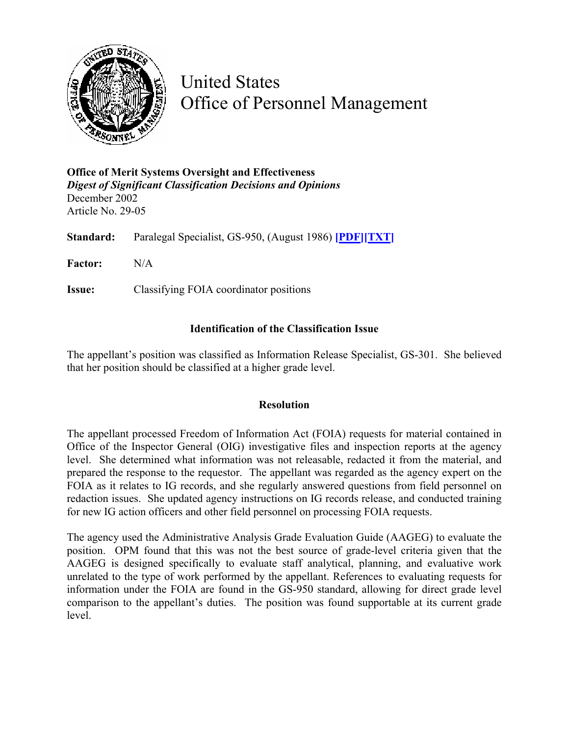

United States Office of Personnel Management

**Office of Merit Systems Oversight and Effectiveness**  *Digest of Significant Classification Decisions and Opinions* December 2002 Article No. 29-05

**Standard:** Paralegal Specialist, GS-950, (August 1986) **[\[PDF\]](http://www.opm.gov/fedclass/gs0950.pdf)[\[TXT\]](http://www.opm.gov/fedclass/text/gs0950.w51)**

**Factor:** N/A

**Issue:** Classifying FOIA coordinator positions

## **Identification of the Classification Issue**

The appellant's position was classified as Information Release Specialist, GS-301. She believed that her position should be classified at a higher grade level.

## **Resolution**

The appellant processed Freedom of Information Act (FOIA) requests for material contained in Office of the Inspector General (OIG) investigative files and inspection reports at the agency level. She determined what information was not releasable, redacted it from the material, and prepared the response to the requestor. The appellant was regarded as the agency expert on the FOIA as it relates to IG records, and she regularly answered questions from field personnel on redaction issues. She updated agency instructions on IG records release, and conducted training for new IG action officers and other field personnel on processing FOIA requests.

The agency used the Administrative Analysis Grade Evaluation Guide (AAGEG) to evaluate the position. OPM found that this was not the best source of grade-level criteria given that the AAGEG is designed specifically to evaluate staff analytical, planning, and evaluative work unrelated to the type of work performed by the appellant. References to evaluating requests for information under the FOIA are found in the GS-950 standard, allowing for direct grade level comparison to the appellant's duties. The position was found supportable at its current grade level.